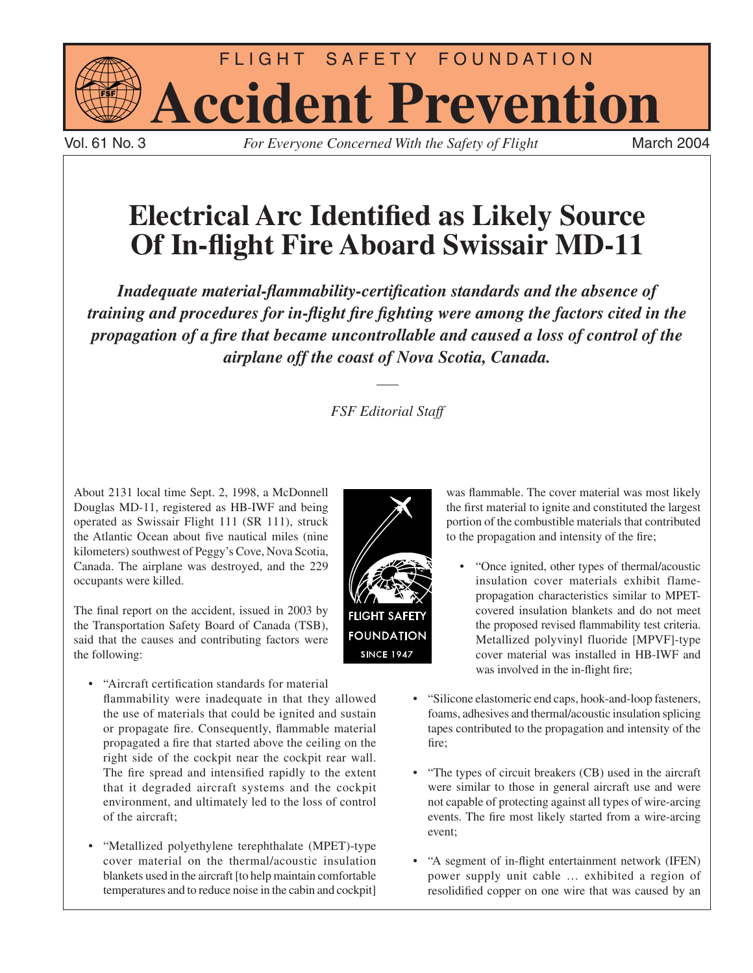

Vol. 61 No. 3 *For Everyone Concerned With the Safety of Flight* 

# **Electrical Arc Identified as Likely Source Of In-flight Fire Aboard Swissair MD-11**

*Inadequate material-flammability-certification standards and the absence of training and procedures for in-flight fire fighting were among the factors cited in the propagation of a fire that became uncontrollable and caused a loss of control of the airplane off the coast of Nova Scotia, Canada.*

*FSF Editorial Staff*

About 2131 local time Sept. 2, 1998, a McDonnell Douglas MD-11, registered as HB-IWF and being operated as Swissair Flight 111 (SR 111), struck the Atlantic Ocean about five nautical miles (nine kilometers) southwest of Peggy's Cove, Nova Scotia, Canada. The airplane was destroyed, and the 229 occupants were killed.

The final report on the accident, issued in 2003 by the Transportation Safety Board of Canada (TSB), said that the causes and contributing factors were the following:

- "Aircraft certification standards for material flammability were inadequate in that they allowed the use of materials that could be ignited and sustain or propagate fire. Consequently, flammable material propagated a fire that started above the ceiling on the right side of the cockpit near the cockpit rear wall. The fire spread and intensified rapidly to the extent that it degraded aircraft systems and the cockpit environment, and ultimately led to the loss of control of the aircraft;
- "Metallized polyethylene terephthalate (MPET)-type cover material on the thermal/acoustic insulation blankets used in the aircraft [to help maintain comfortable temperatures and to reduce noise in the cabin and cockpit]



was flammable. The cover material was most likely the first material to ignite and constituted the largest portion of the combustible materials that contributed to the propagation and intensity of the fire;

- "Once ignited, other types of thermal/acoustic insulation cover materials exhibit flamepropagation characteristics similar to MPETcovered insulation blankets and do not meet the proposed revised flammability test criteria. Metallized polyvinyl fluoride [MPVF]-type cover material was installed in HB-IWF and was involved in the in-flight fire;
- "Silicone elastomeric end caps, hook-and-loop fasteners, foams, adhesives and thermal/acoustic insulation splicing tapes contributed to the propagation and intensity of the fire;
- "The types of circuit breakers (CB) used in the aircraft were similar to those in general aircraft use and were not capable of protecting against all types of wire-arcing events. The fire most likely started from a wire-arcing event;
- "A segment of in-flight entertainment network (IFEN) power supply unit cable … exhibited a region of resolidified copper on one wire that was caused by an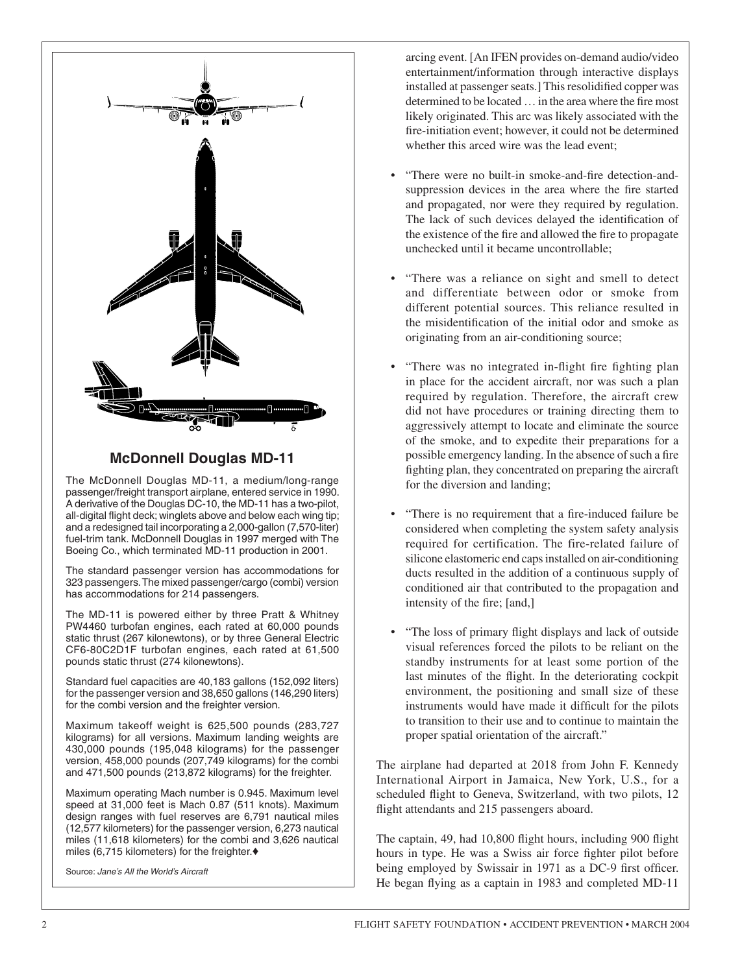

## **McDonnell Douglas MD-11**

The McDonnell Douglas MD-11, a medium/long-range passenger/freight transport airplane, entered service in 1990. A derivative of the Douglas DC-10, the MD-11 has a two-pilot, all-digital flight deck; winglets above and below each wing tip; and a redesigned tail incorporating a 2,000-gallon (7,570-liter) fuel-trim tank. McDonnell Douglas in 1997 merged with The Boeing Co., which terminated MD-11 production in 2001.

The standard passenger version has accommodations for 323 passengers. The mixed passenger/cargo (combi) version has accommodations for 214 passengers.

The MD-11 is powered either by three Pratt & Whitney PW4460 turbofan engines, each rated at 60,000 pounds static thrust (267 kilonewtons), or by three General Electric CF6-80C2D1F turbofan engines, each rated at 61,500 pounds static thrust (274 kilonewtons).

Standard fuel capacities are 40,183 gallons (152,092 liters) for the passenger version and 38,650 gallons (146,290 liters) for the combi version and the freighter version.

Maximum takeoff weight is 625,500 pounds (283,727 kilograms) for all versions. Maximum landing weights are 430,000 pounds (195,048 kilograms) for the passenger version, 458,000 pounds (207,749 kilograms) for the combi and 471,500 pounds (213,872 kilograms) for the freighter.

Maximum operating Mach number is 0.945. Maximum level speed at 31,000 feet is Mach 0.87 (511 knots). Maximum design ranges with fuel reserves are 6,791 nautical miles (12,577 kilometers) for the passenger version, 6,273 nautical miles (11,618 kilometers) for the combi and 3,626 nautical miles (6,715 kilometers) for the freighter.♦

Source: *Jane's All the World's Aircraft*

arcing event. [An IFEN provides on-demand audio/video entertainment/information through interactive displays installed at passenger seats.] This resolidified copper was determined to be located … in the area where the fire most likely originated. This arc was likely associated with the fire-initiation event; however, it could not be determined whether this arced wire was the lead event;

- "There were no built-in smoke-and-fire detection-andsuppression devices in the area where the fire started and propagated, nor were they required by regulation. The lack of such devices delayed the identification of the existence of the fire and allowed the fire to propagate unchecked until it became uncontrollable;
- "There was a reliance on sight and smell to detect and differentiate between odor or smoke from different potential sources. This reliance resulted in the misidentification of the initial odor and smoke as originating from an air-conditioning source;
- "There was no integrated in-flight fire fighting plan in place for the accident aircraft, nor was such a plan required by regulation. Therefore, the aircraft crew did not have procedures or training directing them to aggressively attempt to locate and eliminate the source of the smoke, and to expedite their preparations for a possible emergency landing. In the absence of such a fire fighting plan, they concentrated on preparing the aircraft for the diversion and landing;
- "There is no requirement that a fire-induced failure be considered when completing the system safety analysis required for certification. The fire-related failure of silicone elastomeric end caps installed on air-conditioning ducts resulted in the addition of a continuous supply of conditioned air that contributed to the propagation and intensity of the fire; [and,]
- "The loss of primary flight displays and lack of outside visual references forced the pilots to be reliant on the standby instruments for at least some portion of the last minutes of the flight. In the deteriorating cockpit environment, the positioning and small size of these instruments would have made it difficult for the pilots to transition to their use and to continue to maintain the proper spatial orientation of the aircraft."

The airplane had departed at 2018 from John F. Kennedy International Airport in Jamaica, New York, U.S., for a scheduled flight to Geneva, Switzerland, with two pilots, 12 flight attendants and 215 passengers aboard.

The captain, 49, had 10,800 flight hours, including 900 flight hours in type. He was a Swiss air force fighter pilot before being employed by Swissair in 1971 as a DC-9 first officer. He began flying as a captain in 1983 and completed MD-11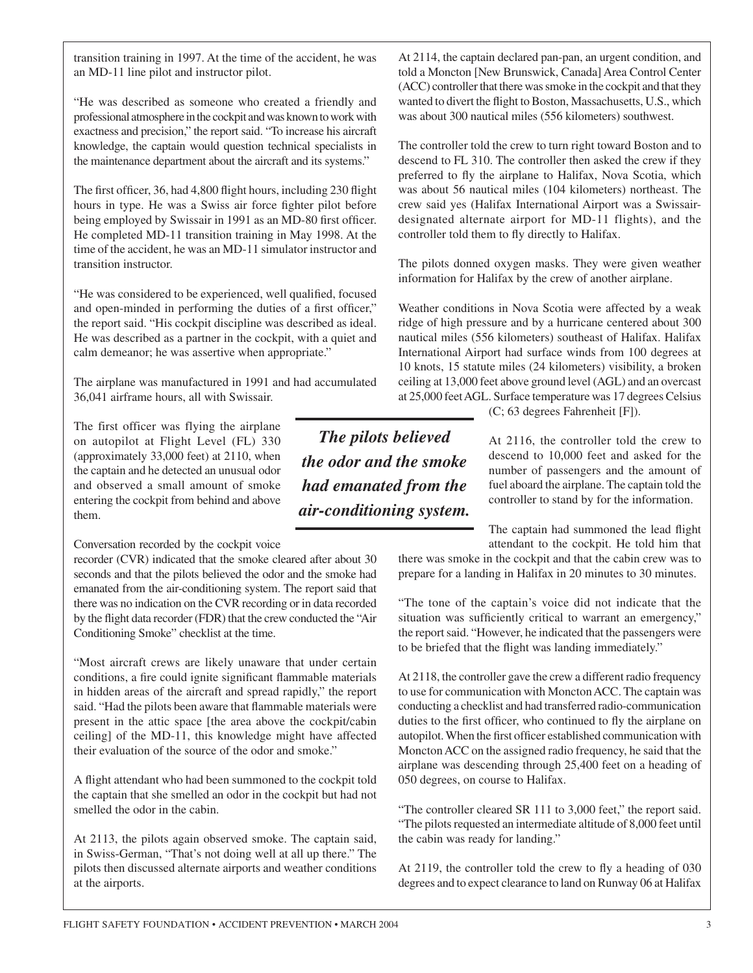transition training in 1997. At the time of the accident, he was an MD-11 line pilot and instructor pilot.

"He was described as someone who created a friendly and professional atmosphere in the cockpit and was known to work with exactness and precision," the report said. "To increase his aircraft knowledge, the captain would question technical specialists in the maintenance department about the aircraft and its systems."

The first officer, 36, had 4,800 flight hours, including 230 flight hours in type. He was a Swiss air force fighter pilot before being employed by Swissair in 1991 as an MD-80 first officer. He completed MD-11 transition training in May 1998. At the time of the accident, he was an MD-11 simulator instructor and transition instructor.

"He was considered to be experienced, well qualified, focused and open-minded in performing the duties of a first officer," the report said. "His cockpit discipline was described as ideal. He was described as a partner in the cockpit, with a quiet and calm demeanor; he was assertive when appropriate."

The airplane was manufactured in 1991 and had accumulated 36,041 airframe hours, all with Swissair.

The first officer was flying the airplane on autopilot at Flight Level (FL) 330 (approximately 33,000 feet) at 2110, when the captain and he detected an unusual odor and observed a small amount of smoke entering the cockpit from behind and above them.

Conversation recorded by the cockpit voice

recorder (CVR) indicated that the smoke cleared after about 30 seconds and that the pilots believed the odor and the smoke had emanated from the air-conditioning system. The report said that there was no indication on the CVR recording or in data recorded by the flight data recorder (FDR) that the crew conducted the "Air Conditioning Smoke" checklist at the time.

"Most aircraft crews are likely unaware that under certain conditions, a fire could ignite significant flammable materials in hidden areas of the aircraft and spread rapidly," the report said. "Had the pilots been aware that flammable materials were present in the attic space [the area above the cockpit/cabin ceiling] of the MD-11, this knowledge might have affected their evaluation of the source of the odor and smoke."

A flight attendant who had been summoned to the cockpit told the captain that she smelled an odor in the cockpit but had not smelled the odor in the cabin.

At 2113, the pilots again observed smoke. The captain said, in Swiss-German, "That's not doing well at all up there." The pilots then discussed alternate airports and weather conditions at the airports.

At 2114, the captain declared pan-pan, an urgent condition, and told a Moncton [New Brunswick, Canada] Area Control Center (ACC) controller that there was smoke in the cockpit and that they wanted to divert the flight to Boston, Massachusetts, U.S., which was about 300 nautical miles (556 kilometers) southwest.

The controller told the crew to turn right toward Boston and to descend to FL 310. The controller then asked the crew if they preferred to fly the airplane to Halifax, Nova Scotia, which was about 56 nautical miles (104 kilometers) northeast. The crew said yes (Halifax International Airport was a Swissairdesignated alternate airport for MD-11 flights), and the controller told them to fly directly to Halifax.

The pilots donned oxygen masks. They were given weather information for Halifax by the crew of another airplane.

Weather conditions in Nova Scotia were affected by a weak ridge of high pressure and by a hurricane centered about 300 nautical miles (556 kilometers) southeast of Halifax. Halifax International Airport had surface winds from 100 degrees at 10 knots, 15 statute miles (24 kilometers) visibility, a broken ceiling at 13,000 feet above ground level (AGL) and an overcast at 25,000 feet AGL. Surface temperature was 17 degrees Celsius

(C; 63 degrees Fahrenheit [F]).

At 2116, the controller told the crew to descend to 10,000 feet and asked for the number of passengers and the amount of fuel aboard the airplane. The captain told the controller to stand by for the information.

The captain had summoned the lead flight attendant to the cockpit. He told him that

there was smoke in the cockpit and that the cabin crew was to prepare for a landing in Halifax in 20 minutes to 30 minutes.

"The tone of the captain's voice did not indicate that the situation was sufficiently critical to warrant an emergency," the report said. "However, he indicated that the passengers were to be briefed that the flight was landing immediately."

At 2118, the controller gave the crew a different radio frequency to use for communication with Moncton ACC. The captain was conducting a checklist and had transferred radio-communication duties to the first officer, who continued to fly the airplane on autopilot. When the first officer established communication with Moncton ACC on the assigned radio frequency, he said that the airplane was descending through 25,400 feet on a heading of 050 degrees, on course to Halifax.

"The controller cleared SR 111 to 3,000 feet," the report said. "The pilots requested an intermediate altitude of 8,000 feet until the cabin was ready for landing."

At 2119, the controller told the crew to fly a heading of 030 degrees and to expect clearance to land on Runway 06 at Halifax

*The pilots believed the odor and the smoke had emanated from the air-conditioning system.*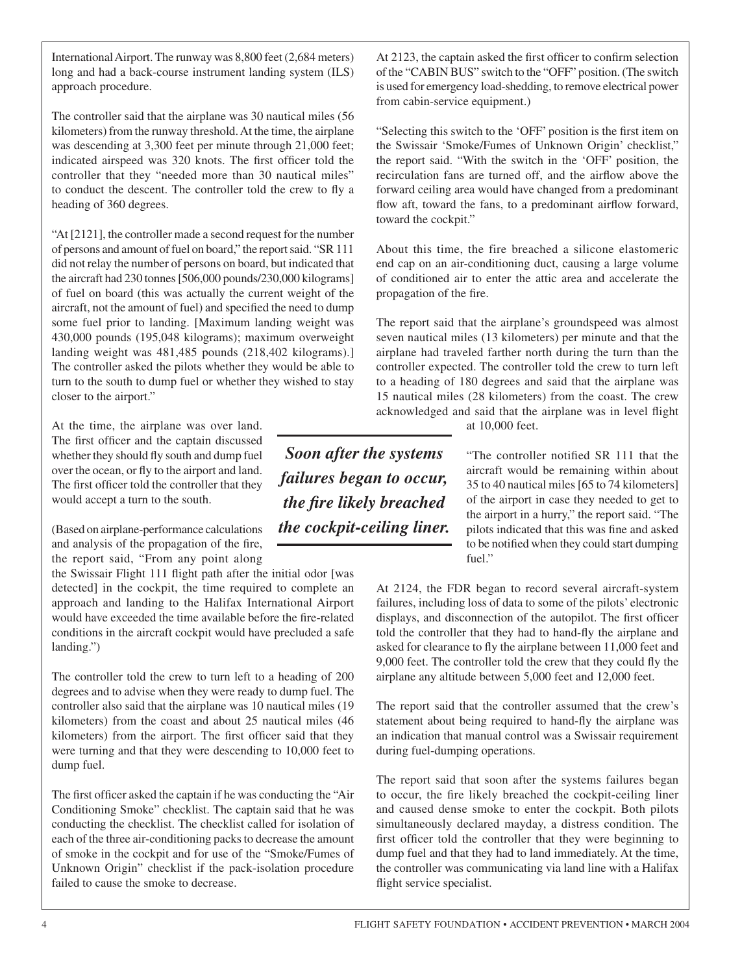International Airport. The runway was 8,800 feet (2,684 meters) long and had a back-course instrument landing system (ILS) approach procedure.

The controller said that the airplane was 30 nautical miles (56 kilometers) from the runway threshold. At the time, the airplane was descending at 3,300 feet per minute through 21,000 feet; indicated airspeed was 320 knots. The first officer told the controller that they "needed more than 30 nautical miles" to conduct the descent. The controller told the crew to fly a heading of 360 degrees.

"At [2121], the controller made a second request for the number of persons and amount of fuel on board," the report said. "SR 111 did not relay the number of persons on board, but indicated that the aircraft had 230 tonnes [506,000 pounds/230,000 kilograms] of fuel on board (this was actually the current weight of the aircraft, not the amount of fuel) and specified the need to dump some fuel prior to landing. [Maximum landing weight was 430,000 pounds (195,048 kilograms); maximum overweight landing weight was 481,485 pounds (218,402 kilograms).] The controller asked the pilots whether they would be able to turn to the south to dump fuel or whether they wished to stay closer to the airport."

At the time, the airplane was over land. The first officer and the captain discussed whether they should fly south and dump fuel over the ocean, or fly to the airport and land. The first officer told the controller that they would accept a turn to the south.

(Based on airplane-performance calculations and analysis of the propagation of the fire, the report said, "From any point along

the Swissair Flight 111 flight path after the initial odor [was detected] in the cockpit, the time required to complete an approach and landing to the Halifax International Airport would have exceeded the time available before the fire-related conditions in the aircraft cockpit would have precluded a safe landing.")

The controller told the crew to turn left to a heading of 200 degrees and to advise when they were ready to dump fuel. The controller also said that the airplane was 10 nautical miles (19 kilometers) from the coast and about 25 nautical miles (46 kilometers) from the airport. The first officer said that they were turning and that they were descending to 10,000 feet to dump fuel.

The first officer asked the captain if he was conducting the "Air Conditioning Smoke" checklist. The captain said that he was conducting the checklist. The checklist called for isolation of each of the three air-conditioning packs to decrease the amount of smoke in the cockpit and for use of the "Smoke/Fumes of Unknown Origin" checklist if the pack-isolation procedure failed to cause the smoke to decrease.

At 2123, the captain asked the first officer to confirm selection of the "CABIN BUS" switch to the "OFF" position. (The switch is used for emergency load-shedding, to remove electrical power from cabin-service equipment.)

"Selecting this switch to the 'OFF' position is the first item on the Swissair 'Smoke/Fumes of Unknown Origin' checklist," the report said. "With the switch in the 'OFF' position, the recirculation fans are turned off, and the airflow above the forward ceiling area would have changed from a predominant flow aft, toward the fans, to a predominant airflow forward, toward the cockpit."

About this time, the fire breached a silicone elastomeric end cap on an air-conditioning duct, causing a large volume of conditioned air to enter the attic area and accelerate the propagation of the fire.

The report said that the airplane's groundspeed was almost seven nautical miles (13 kilometers) per minute and that the airplane had traveled farther north during the turn than the controller expected. The controller told the crew to turn left to a heading of 180 degrees and said that the airplane was 15 nautical miles (28 kilometers) from the coast. The crew acknowledged and said that the airplane was in level flight

at 10,000 feet.

*Soon after the systems failures began to occur, the fire likely breached the cockpit-ceiling liner.*

"The controller notified SR 111 that the aircraft would be remaining within about 35 to 40 nautical miles [65 to 74 kilometers] of the airport in case they needed to get to the airport in a hurry," the report said. "The pilots indicated that this was fine and asked to be notified when they could start dumping fuel."

At 2124, the FDR began to record several aircraft-system failures, including loss of data to some of the pilots' electronic displays, and disconnection of the autopilot. The first officer told the controller that they had to hand-fly the airplane and asked for clearance to fly the airplane between 11,000 feet and 9,000 feet. The controller told the crew that they could fly the airplane any altitude between 5,000 feet and 12,000 feet.

The report said that the controller assumed that the crew's statement about being required to hand-fly the airplane was an indication that manual control was a Swissair requirement during fuel-dumping operations.

The report said that soon after the systems failures began to occur, the fire likely breached the cockpit-ceiling liner and caused dense smoke to enter the cockpit. Both pilots simultaneously declared mayday, a distress condition. The first officer told the controller that they were beginning to dump fuel and that they had to land immediately. At the time, the controller was communicating via land line with a Halifax flight service specialist.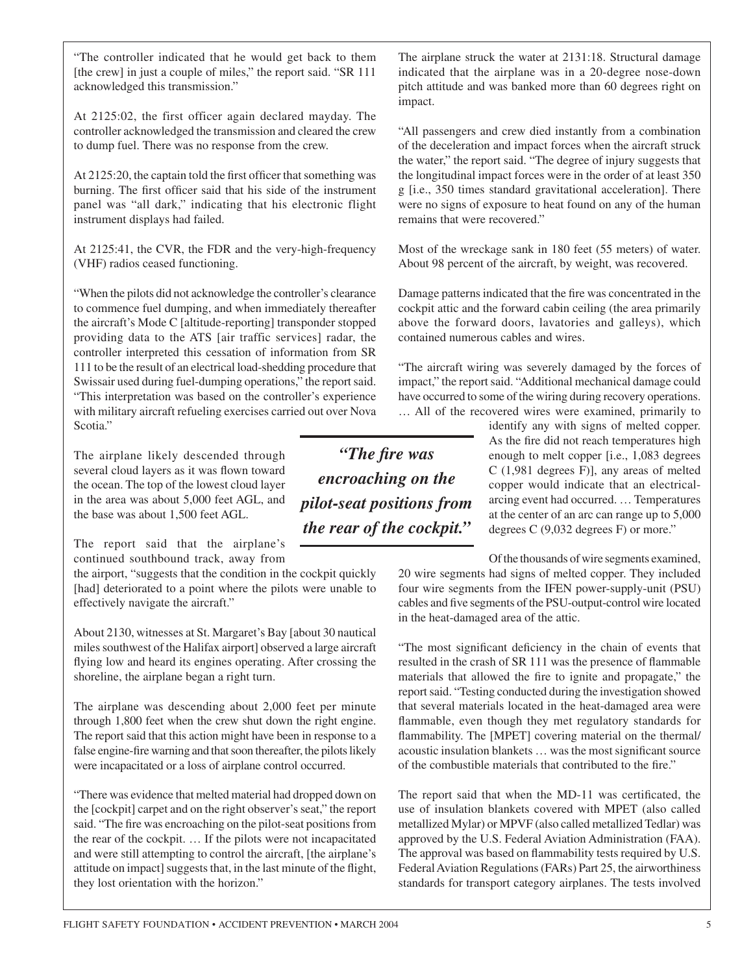"The controller indicated that he would get back to them [the crew] in just a couple of miles," the report said. "SR 111 acknowledged this transmission."

At 2125:02, the first officer again declared mayday. The controller acknowledged the transmission and cleared the crew to dump fuel. There was no response from the crew.

At 2125:20, the captain told the first officer that something was burning. The first officer said that his side of the instrument panel was "all dark," indicating that his electronic flight instrument displays had failed.

At 2125:41, the CVR, the FDR and the very-high-frequency (VHF) radios ceased functioning.

"When the pilots did not acknowledge the controller's clearance to commence fuel dumping, and when immediately thereafter the aircraft's Mode C [altitude-reporting] transponder stopped providing data to the ATS [air traffic services] radar, the controller interpreted this cessation of information from SR 111 to be the result of an electrical load-shedding procedure that Swissair used during fuel-dumping operations," the report said. "This interpretation was based on the controller's experience with military aircraft refueling exercises carried out over Nova Scotia."

The airplane likely descended through several cloud layers as it was flown toward the ocean. The top of the lowest cloud layer in the area was about 5,000 feet AGL, and the base was about 1,500 feet AGL.

The report said that the airplane's continued southbound track, away from

the airport, "suggests that the condition in the cockpit quickly [had] deteriorated to a point where the pilots were unable to effectively navigate the aircraft."

About 2130, witnesses at St. Margaret's Bay [about 30 nautical miles southwest of the Halifax airport] observed a large aircraft flying low and heard its engines operating. After crossing the shoreline, the airplane began a right turn.

The airplane was descending about 2,000 feet per minute through 1,800 feet when the crew shut down the right engine. The report said that this action might have been in response to a false engine-fire warning and that soon thereafter, the pilots likely were incapacitated or a loss of airplane control occurred.

"There was evidence that melted material had dropped down on the [cockpit] carpet and on the right observer's seat," the report said. "The fire was encroaching on the pilot-seat positions from the rear of the cockpit. … If the pilots were not incapacitated and were still attempting to control the aircraft, [the airplane's attitude on impact] suggests that, in the last minute of the flight, they lost orientation with the horizon."

The airplane struck the water at 2131:18. Structural damage indicated that the airplane was in a 20-degree nose-down pitch attitude and was banked more than 60 degrees right on impact.

"All passengers and crew died instantly from a combination of the deceleration and impact forces when the aircraft struck the water," the report said. "The degree of injury suggests that the longitudinal impact forces were in the order of at least 350 g [i.e., 350 times standard gravitational acceleration]. There were no signs of exposure to heat found on any of the human remains that were recovered."

Most of the wreckage sank in 180 feet (55 meters) of water. About 98 percent of the aircraft, by weight, was recovered.

Damage patterns indicated that the fire was concentrated in the cockpit attic and the forward cabin ceiling (the area primarily above the forward doors, lavatories and galleys), which contained numerous cables and wires.

"The aircraft wiring was severely damaged by the forces of impact," the report said. "Additional mechanical damage could have occurred to some of the wiring during recovery operations. … All of the recovered wires were examined, primarily to

> identify any with signs of melted copper. As the fire did not reach temperatures high enough to melt copper [i.e., 1,083 degrees C (1,981 degrees F)], any areas of melted copper would indicate that an electricalarcing event had occurred. … Temperatures at the center of an arc can range up to 5,000 degrees C (9,032 degrees F) or more."

Of the thousands of wire segments examined, 20 wire segments had signs of melted copper. They included four wire segments from the IFEN power-supply-unit (PSU) cables and five segments of the PSU-output-control wire located in the heat-damaged area of the attic.

"The most significant deficiency in the chain of events that resulted in the crash of SR 111 was the presence of flammable materials that allowed the fire to ignite and propagate," the report said. "Testing conducted during the investigation showed that several materials located in the heat-damaged area were flammable, even though they met regulatory standards for flammability. The [MPET] covering material on the thermal/ acoustic insulation blankets … was the most significant source of the combustible materials that contributed to the fire."

The report said that when the MD-11 was certificated, the use of insulation blankets covered with MPET (also called metallized Mylar) or MPVF (also called metallized Tedlar) was approved by the U.S. Federal Aviation Administration (FAA). The approval was based on flammability tests required by U.S. Federal Aviation Regulations (FARs) Part 25, the airworthiness standards for transport category airplanes. The tests involved

*"The fire was encroaching on the pilot-seat positions from the rear of the cockpit."*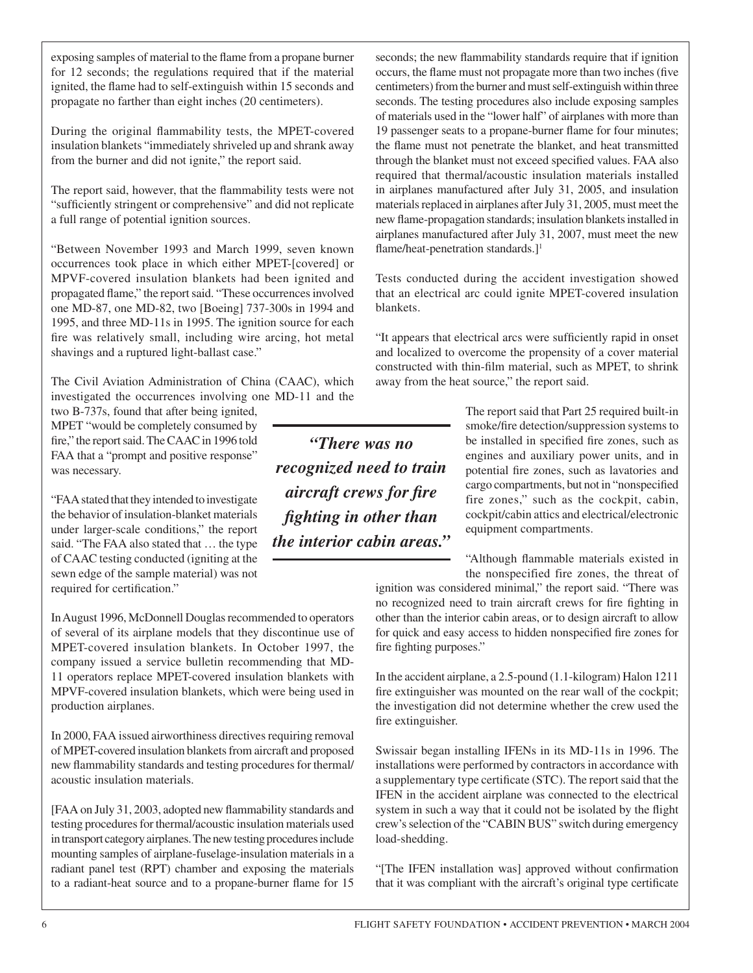exposing samples of material to the flame from a propane burner for 12 seconds; the regulations required that if the material ignited, the flame had to self-extinguish within 15 seconds and propagate no farther than eight inches (20 centimeters).

During the original flammability tests, the MPET-covered insulation blankets "immediately shriveled up and shrank away from the burner and did not ignite," the report said.

The report said, however, that the flammability tests were not "sufficiently stringent or comprehensive" and did not replicate a full range of potential ignition sources.

"Between November 1993 and March 1999, seven known occurrences took place in which either MPET-[covered] or MPVF-covered insulation blankets had been ignited and propagated flame," the report said. "These occurrences involved one MD-87, one MD-82, two [Boeing] 737-300s in 1994 and 1995, and three MD-11s in 1995. The ignition source for each fire was relatively small, including wire arcing, hot metal shavings and a ruptured light-ballast case."

The Civil Aviation Administration of China (CAAC), which investigated the occurrences involving one MD-11 and the

two B-737s, found that after being ignited, MPET "would be completely consumed by fire," the report said. The CAAC in 1996 told FAA that a "prompt and positive response" was necessary.

"FAA stated that they intended to investigate the behavior of insulation-blanket materials under larger-scale conditions," the report said. "The FAA also stated that … the type of CAAC testing conducted (igniting at the sewn edge of the sample material) was not required for certification."

In August 1996, McDonnell Douglas recommended to operators of several of its airplane models that they discontinue use of MPET-covered insulation blankets. In October 1997, the company issued a service bulletin recommending that MD-11 operators replace MPET-covered insulation blankets with MPVF-covered insulation blankets, which were being used in production airplanes.

In 2000, FAA issued airworthiness directives requiring removal of MPET-covered insulation blankets from aircraft and proposed new flammability standards and testing procedures for thermal/ acoustic insulation materials.

[FAA on July 31, 2003, adopted new flammability standards and testing procedures for thermal/acoustic insulation materials used in transport category airplanes. The new testing procedures include mounting samples of airplane-fuselage-insulation materials in a radiant panel test (RPT) chamber and exposing the materials to a radiant-heat source and to a propane-burner flame for 15

*"There was no recognized need to train aircraft crews for fire fighting in other than the interior cabin areas."*

seconds; the new flammability standards require that if ignition occurs, the flame must not propagate more than two inches (five centimeters) from the burner and must self-extinguish within three seconds. The testing procedures also include exposing samples of materials used in the "lower half" of airplanes with more than 19 passenger seats to a propane-burner flame for four minutes; the flame must not penetrate the blanket, and heat transmitted through the blanket must not exceed specified values. FAA also required that thermal/acoustic insulation materials installed in airplanes manufactured after July 31, 2005, and insulation materials replaced in airplanes after July 31, 2005, must meet the new flame-propagation standards; insulation blankets installed in airplanes manufactured after July 31, 2007, must meet the new flame/heat-penetration standards.]<sup>1</sup>

Tests conducted during the accident investigation showed that an electrical arc could ignite MPET-covered insulation blankets.

"It appears that electrical arcs were sufficiently rapid in onset and localized to overcome the propensity of a cover material constructed with thin-film material, such as MPET, to shrink away from the heat source," the report said.

> The report said that Part 25 required built-in smoke/fire detection/suppression systems to be installed in specified fire zones, such as engines and auxiliary power units, and in potential fire zones, such as lavatories and cargo compartments, but not in "nonspecified fire zones," such as the cockpit, cabin, cockpit/cabin attics and electrical/electronic equipment compartments.

> "Although flammable materials existed in the nonspecified fire zones, the threat of

ignition was considered minimal," the report said. "There was no recognized need to train aircraft crews for fire fighting in other than the interior cabin areas, or to design aircraft to allow for quick and easy access to hidden nonspecified fire zones for fire fighting purposes."

In the accident airplane, a 2.5-pound (1.1-kilogram) Halon 1211 fire extinguisher was mounted on the rear wall of the cockpit; the investigation did not determine whether the crew used the fire extinguisher.

Swissair began installing IFENs in its MD-11s in 1996. The installations were performed by contractors in accordance with a supplementary type certificate (STC). The report said that the IFEN in the accident airplane was connected to the electrical system in such a way that it could not be isolated by the flight crew's selection of the "CABIN BUS" switch during emergency load-shedding.

"[The IFEN installation was] approved without confirmation that it was compliant with the aircraft's original type certificate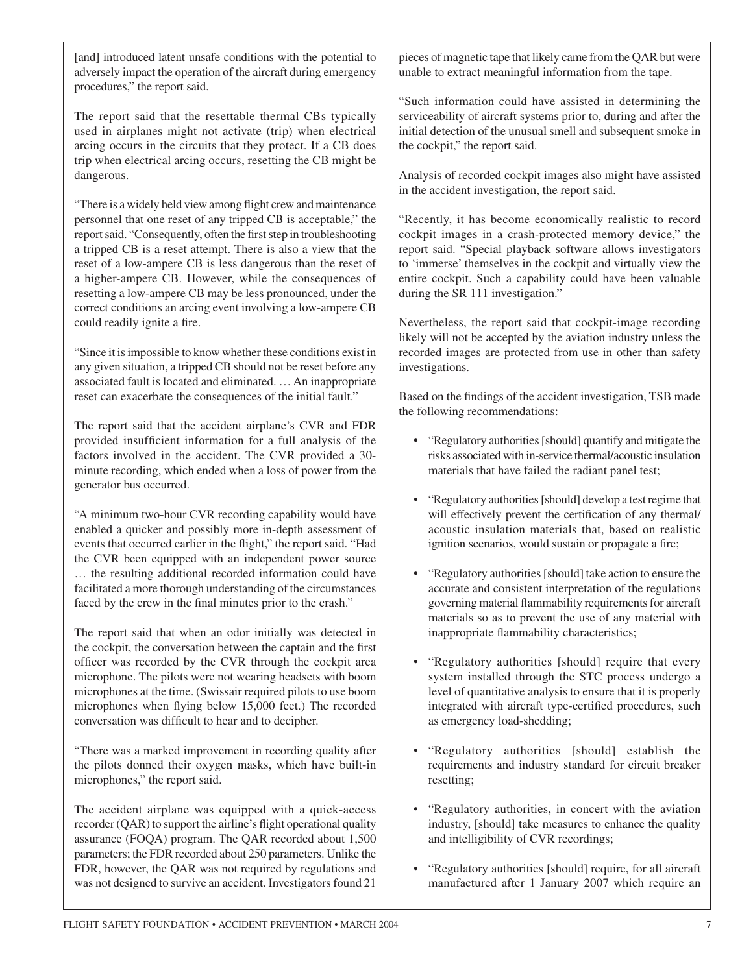[and] introduced latent unsafe conditions with the potential to adversely impact the operation of the aircraft during emergency procedures," the report said.

The report said that the resettable thermal CBs typically used in airplanes might not activate (trip) when electrical arcing occurs in the circuits that they protect. If a CB does trip when electrical arcing occurs, resetting the CB might be dangerous.

"There is a widely held view among flight crew and maintenance personnel that one reset of any tripped CB is acceptable," the report said. "Consequently, often the first step in troubleshooting a tripped CB is a reset attempt. There is also a view that the reset of a low-ampere CB is less dangerous than the reset of a higher-ampere CB. However, while the consequences of resetting a low-ampere CB may be less pronounced, under the correct conditions an arcing event involving a low-ampere CB could readily ignite a fire.

"Since it is impossible to know whether these conditions exist in any given situation, a tripped CB should not be reset before any associated fault is located and eliminated. … An inappropriate reset can exacerbate the consequences of the initial fault."

The report said that the accident airplane's CVR and FDR provided insufficient information for a full analysis of the factors involved in the accident. The CVR provided a 30 minute recording, which ended when a loss of power from the generator bus occurred.

"A minimum two-hour CVR recording capability would have enabled a quicker and possibly more in-depth assessment of events that occurred earlier in the flight," the report said. "Had the CVR been equipped with an independent power source … the resulting additional recorded information could have facilitated a more thorough understanding of the circumstances faced by the crew in the final minutes prior to the crash."

The report said that when an odor initially was detected in the cockpit, the conversation between the captain and the first officer was recorded by the CVR through the cockpit area microphone. The pilots were not wearing headsets with boom microphones at the time. (Swissair required pilots to use boom microphones when flying below 15,000 feet.) The recorded conversation was difficult to hear and to decipher.

"There was a marked improvement in recording quality after the pilots donned their oxygen masks, which have built-in microphones," the report said.

The accident airplane was equipped with a quick-access recorder (QAR) to support the airline's flight operational quality assurance (FOQA) program. The QAR recorded about 1,500 parameters; the FDR recorded about 250 parameters. Unlike the FDR, however, the QAR was not required by regulations and was not designed to survive an accident. Investigators found 21

pieces of magnetic tape that likely came from the QAR but were unable to extract meaningful information from the tape.

"Such information could have assisted in determining the serviceability of aircraft systems prior to, during and after the initial detection of the unusual smell and subsequent smoke in the cockpit," the report said.

Analysis of recorded cockpit images also might have assisted in the accident investigation, the report said.

"Recently, it has become economically realistic to record cockpit images in a crash-protected memory device," the report said. "Special playback software allows investigators to 'immerse' themselves in the cockpit and virtually view the entire cockpit. Such a capability could have been valuable during the SR 111 investigation."

Nevertheless, the report said that cockpit-image recording likely will not be accepted by the aviation industry unless the recorded images are protected from use in other than safety investigations.

Based on the findings of the accident investigation, TSB made the following recommendations:

- "Regulatory authorities [should] quantify and mitigate the risks associated with in-service thermal/acoustic insulation materials that have failed the radiant panel test;
- "Regulatory authorities [should] develop a test regime that will effectively prevent the certification of any thermal/ acoustic insulation materials that, based on realistic ignition scenarios, would sustain or propagate a fire;
- "Regulatory authorities [should] take action to ensure the accurate and consistent interpretation of the regulations governing material flammability requirements for aircraft materials so as to prevent the use of any material with inappropriate flammability characteristics;
- "Regulatory authorities [should] require that every system installed through the STC process undergo a level of quantitative analysis to ensure that it is properly integrated with aircraft type-certified procedures, such as emergency load-shedding;
- "Regulatory authorities [should] establish the requirements and industry standard for circuit breaker resetting;
- "Regulatory authorities, in concert with the aviation industry, [should] take measures to enhance the quality and intelligibility of CVR recordings;
- "Regulatory authorities [should] require, for all aircraft manufactured after 1 January 2007 which require an